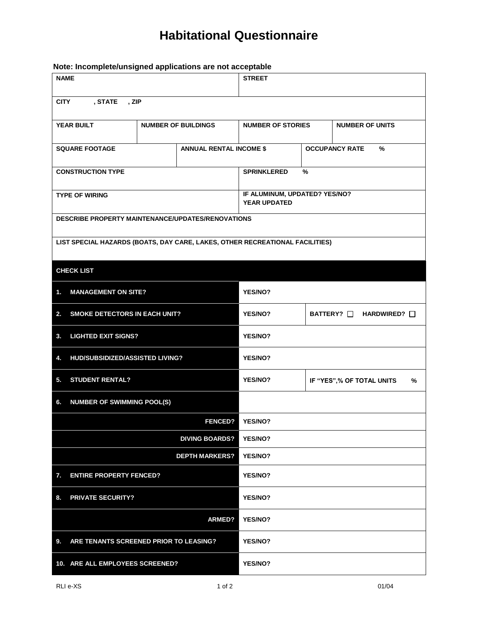## **Habitational Questionnaire**

**Note: Incomplete/unsigned applications are not acceptable**

| <b>NAME</b>                                                                  |                                | <b>STREET</b>                                 |                                   |                        |  |  |
|------------------------------------------------------------------------------|--------------------------------|-----------------------------------------------|-----------------------------------|------------------------|--|--|
| <b>CITY</b><br>, STATE<br>, ZIP                                              |                                |                                               |                                   |                        |  |  |
| <b>YEAR BUILT</b>                                                            | <b>NUMBER OF BUILDINGS</b>     |                                               | <b>NUMBER OF STORIES</b>          | <b>NUMBER OF UNITS</b> |  |  |
| <b>SQUARE FOOTAGE</b>                                                        | <b>ANNUAL RENTAL INCOME \$</b> |                                               | <b>OCCUPANCY RATE</b><br>%        |                        |  |  |
| <b>CONSTRUCTION TYPE</b>                                                     |                                | <b>SPRINKLERED</b><br>%                       |                                   |                        |  |  |
| <b>TYPE OF WIRING</b>                                                        |                                | IF ALUMINUM, UPDATED? YES/NO?<br>YEAR UPDATED |                                   |                        |  |  |
| DESCRIBE PROPERTY MAINTENANCE/UPDATES/RENOVATIONS                            |                                |                                               |                                   |                        |  |  |
| LIST SPECIAL HAZARDS (BOATS, DAY CARE, LAKES, OTHER RECREATIONAL FACILITIES) |                                |                                               |                                   |                        |  |  |
| <b>CHECK LIST</b>                                                            |                                |                                               |                                   |                        |  |  |
| 1.<br><b>MANAGEMENT ON SITE?</b>                                             |                                | YES/NO?                                       |                                   |                        |  |  |
| 2.<br><b>SMOKE DETECTORS IN EACH UNIT?</b>                                   |                                | YES/NO?                                       | BATTERY? $\Box$ HARDWIRED? $\Box$ |                        |  |  |
| <b>LIGHTED EXIT SIGNS?</b><br>3.                                             | YES/NO?                        |                                               |                                   |                        |  |  |
| HUD/SUBSIDIZED/ASSISTED LIVING?<br>4.                                        |                                | YES/NO?                                       |                                   |                        |  |  |
| <b>STUDENT RENTAL?</b><br>5.                                                 |                                | <b>YES/NO?</b>                                | IF "YES",% OF TOTAL UNITS<br>%    |                        |  |  |
| <b>NUMBER OF SWIMMING POOL(S)</b><br>6.                                      |                                |                                               |                                   |                        |  |  |
| <b>FENCED?</b>                                                               |                                | YES/NO?                                       |                                   |                        |  |  |
| <b>DIVING BOARDS?</b>                                                        |                                | YES/NO?                                       |                                   |                        |  |  |
|                                                                              | <b>DEPTH MARKERS?</b>          | <b>YES/NO?</b>                                |                                   |                        |  |  |
| 7.<br><b>ENTIRE PROPERTY FENCED?</b>                                         |                                | <b>YES/NO?</b>                                |                                   |                        |  |  |
| <b>PRIVATE SECURITY?</b><br>8.                                               | YES/NO?                        |                                               |                                   |                        |  |  |
|                                                                              | <b>ARMED?</b>                  | YES/NO?                                       |                                   |                        |  |  |
| ARE TENANTS SCREENED PRIOR TO LEASING?<br>9.                                 |                                | YES/NO?                                       |                                   |                        |  |  |
| 10. ARE ALL EMPLOYEES SCREENED?                                              |                                | YES/NO?                                       |                                   |                        |  |  |